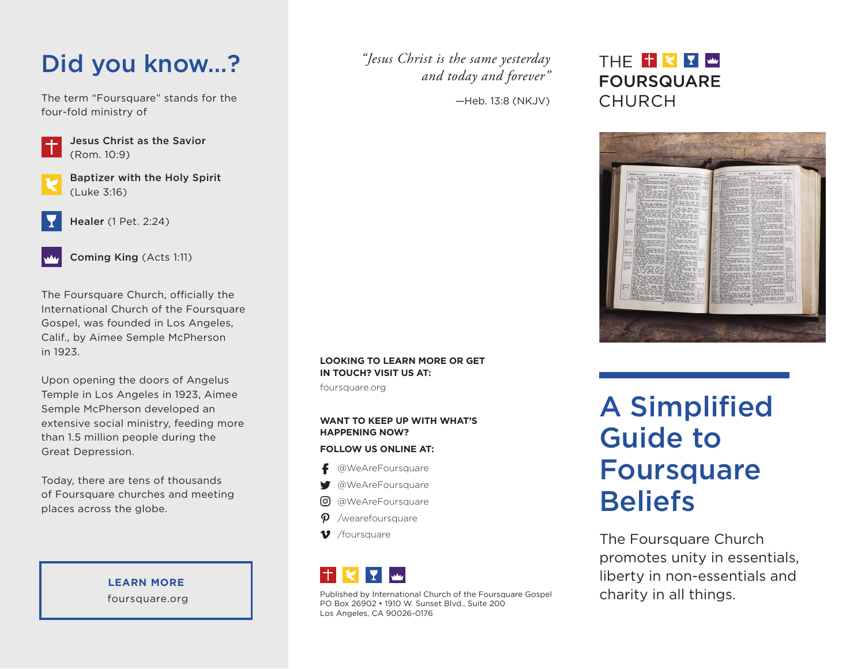### Did you know…?

The term "Foursquare" stands for the four-fold ministry of



Jesus Christ as the Savior (Rom. 10:9)

Baptizer with the Holy Spirit (Luke 3:16)



Healer (1 Pet. 2:24)

Coming King (Acts 1:11)

The Foursquare Church, officially the International Church of the Foursquare Gospel, was founded in Los Angeles, Calif., by Aimee Semple McPherson in 1923.

Upon opening the doors of Angelus Temple in Los Angeles in 1923, Aimee Semple McPherson developed an extensive social ministry, feeding more than 1.5 million people during the Great Depression.

Today, there are tens of thousands of Foursquare churches and meeting places across the globe.

> **LEARN MORE** foursquare.org

*"Jesus Christ is the same yesterday and today and forever"* 

—Heb. 13:8 (NKJV)

### THE <sup>+</sup> < Y <u>W</u> **FOURSQUARE CHURCH**



**LOOKING TO LEARN MORE OR GET IN TOUCH? VISIT US AT:**

foursquare.org

#### **WANT TO KEEP UP WITH WHAT'S HAPPENING NOW?**

#### **FOLLOW US ONLINE AT:**

- @WeAreFoursquare
- @WeAreFoursquare
- @WeAreFoursquare
- /wearefoursquare
- $\boldsymbol{v}$ /foursquare



Published by International Church of the Foursquare Gospel PO Box 26902 • 1910 W. Sunset Blvd., Suite 200 Los Angeles, CA 90026-0176

# A Simplified Guide to **Foursquare Beliefs**

The Foursquare Church promotes unity in essentials, liberty in non-essentials and charity in all things.